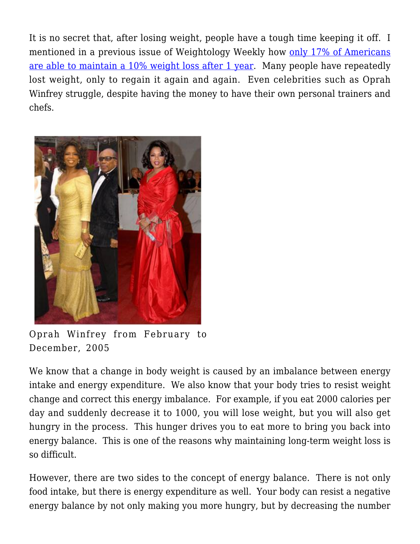It is no secret that, after losing weight, people have a tough time keeping it off. I mentioned in a previous issue of Weightology Weekly how [only 17% of Americans](https://weightology.net/weightologyweekly/?page_id=95) [are able to maintain a 10% weight loss after 1 year.](https://weightology.net/weightologyweekly/?page_id=95) Many people have repeatedly lost weight, only to regain it again and again. Even celebrities such as Oprah Winfrey struggle, despite having the money to have their own personal trainers and chefs.



Oprah Winfrey from February to December, 2005

We know that a change in body weight is caused by an imbalance between energy intake and energy expenditure. We also know that your body tries to resist weight change and correct this energy imbalance. For example, if you eat 2000 calories per day and suddenly decrease it to 1000, you will lose weight, but you will also get hungry in the process. This hunger drives you to eat more to bring you back into energy balance. This is one of the reasons why maintaining long-term weight loss is so difficult.

However, there are two sides to the concept of energy balance. There is not only food intake, but there is energy expenditure as well. Your body can resist a negative energy balance by not only making you more hungry, but by decreasing the number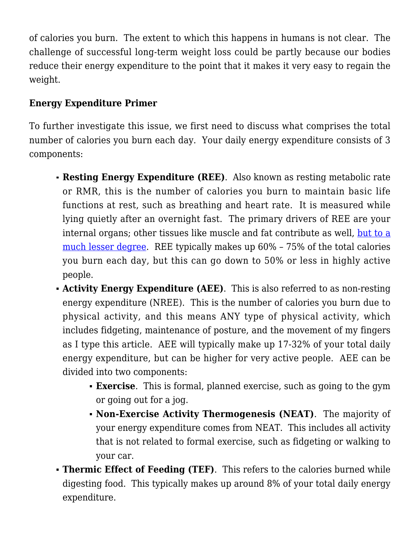of calories you burn. The extent to which this happens in humans is not clear. The challenge of successful long-term weight loss could be partly because our bodies reduce their energy expenditure to the point that it makes it very easy to regain the weight.

# **Energy Expenditure Primer**

To further investigate this issue, we first need to discuss what comprises the total number of calories you burn each day. Your daily energy expenditure consists of 3 components:

- **Resting Energy Expenditure (REE)**. Also known as resting metabolic rate or RMR, this is the number of calories you burn to maintain basic life functions at rest, such as breathing and heart rate. It is measured while lying quietly after an overnight fast. The primary drivers of REE are your internal organs; other tissues like muscle and fat contribute as well, [but to a](https://weightology.net/?p=192) [much lesser degree](https://weightology.net/?p=192). REE typically makes up 60% – 75% of the total calories you burn each day, but this can go down to 50% or less in highly active people.
- **Activity Energy Expenditure (AEE)**. This is also referred to as non-resting energy expenditure (NREE). This is the number of calories you burn due to physical activity, and this means ANY type of physical activity, which includes fidgeting, maintenance of posture, and the movement of my fingers as I type this article. AEE will typically make up 17-32% of your total daily energy expenditure, but can be higher for very active people. AEE can be divided into two components:
	- **Exercise**. This is formal, planned exercise, such as going to the gym or going out for a jog.
	- **Non-Exercise Activity Thermogenesis (NEAT)**. The majority of your energy expenditure comes from NEAT. This includes all activity that is not related to formal exercise, such as fidgeting or walking to your car.
- **Thermic Effect of Feeding (TEF)**. This refers to the calories burned while digesting food. This typically makes up around 8% of your total daily energy expenditure.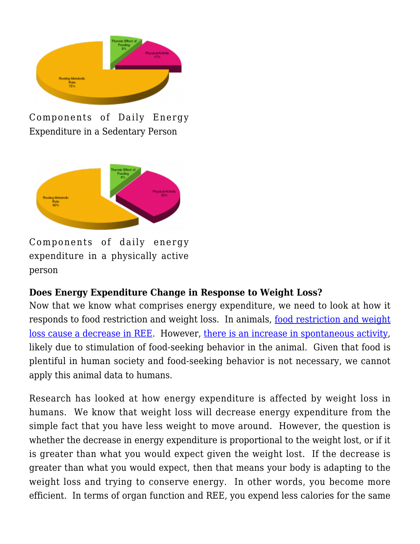

Components of Daily Energy Expenditure in a Sedentary Person



Components of daily energy expenditure in a physically active person

## **Does Energy Expenditure Change in Response to Weight Loss?**

Now that we know what comprises energy expenditure, we need to look at how it responds to food restriction and weight loss. In animals, [food restriction and weight](http://www.ncbi.nlm.nih.gov/pubmed/2086499) [loss cause a decrease in REE](http://www.ncbi.nlm.nih.gov/pubmed/2086499). However, [there is an increase in spontaneous activity,](http://www.ncbi.nlm.nih.gov/pubmed/19420294) likely due to stimulation of food-seeking behavior in the animal. Given that food is plentiful in human society and food-seeking behavior is not necessary, we cannot apply this animal data to humans.

Research has looked at how energy expenditure is affected by weight loss in humans. We know that weight loss will decrease energy expenditure from the simple fact that you have less weight to move around. However, the question is whether the decrease in energy expenditure is proportional to the weight lost, or if it is greater than what you would expect given the weight lost. If the decrease is greater than what you would expect, then that means your body is adapting to the weight loss and trying to conserve energy. In other words, you become more efficient. In terms of organ function and REE, you expend less calories for the same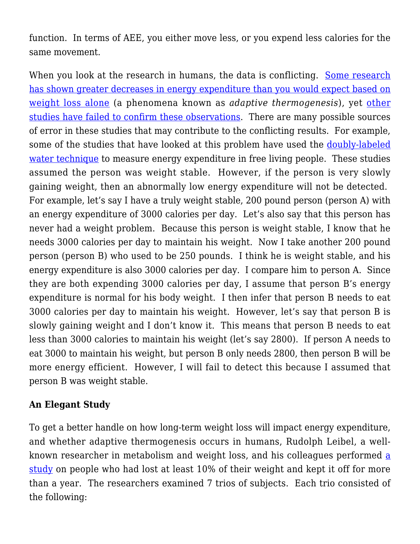function. In terms of AEE, you either move less, or you expend less calories for the same movement.

When you look at the research in humans, the data is conflicting. [Some research](http://www.ncbi.nlm.nih.gov/pubmed/7632212) [has shown greater decreases in energy expenditure than you would expect based on](http://www.ncbi.nlm.nih.gov/pubmed/7632212) [weight loss alone](http://www.ncbi.nlm.nih.gov/pubmed/7632212) (a phenomena known as *adaptive thermogenesis*), yet [other](http://www.ncbi.nlm.nih.gov/pubmed/8376583) [studies have failed to confirm these observations.](http://www.ncbi.nlm.nih.gov/pubmed/8376583) There are many possible sources of error in these studies that may contribute to the conflicting results. For example, some of the studies that have looked at this problem have used the [doubly-labeled](https://weightology.net/weightologyweekly/?page_id=379) [water technique](https://weightology.net/weightologyweekly/?page_id=379) to measure energy expenditure in free living people. These studies assumed the person was weight stable. However, if the person is very slowly gaining weight, then an abnormally low energy expenditure will not be detected. For example, let's say I have a truly weight stable, 200 pound person (person A) with an energy expenditure of 3000 calories per day. Let's also say that this person has never had a weight problem. Because this person is weight stable, I know that he needs 3000 calories per day to maintain his weight. Now I take another 200 pound person (person B) who used to be 250 pounds. I think he is weight stable, and his energy expenditure is also 3000 calories per day. I compare him to person A. Since they are both expending 3000 calories per day, I assume that person B's energy expenditure is normal for his body weight. I then infer that person B needs to eat 3000 calories per day to maintain his weight. However, let's say that person B is slowly gaining weight and I don't know it. This means that person B needs to eat less than 3000 calories to maintain his weight (let's say 2800). If person A needs to eat 3000 to maintain his weight, but person B only needs 2800, then person B will be more energy efficient. However, I will fail to detect this because I assumed that person B was weight stable.

## **An Elegant Study**

To get a better handle on how long-term weight loss will impact energy expenditure, and whether adaptive thermogenesis occurs in humans, Rudolph Leibel, a wellknown rese[a](http://www.ncbi.nlm.nih.gov/pubmed/18842775)rcher in metabolism and weight loss, and his colleagues performed a [study](http://www.ncbi.nlm.nih.gov/pubmed/18842775) on people who had lost at least 10% of their weight and kept it off for more than a year. The researchers examined 7 trios of subjects. Each trio consisted of the following: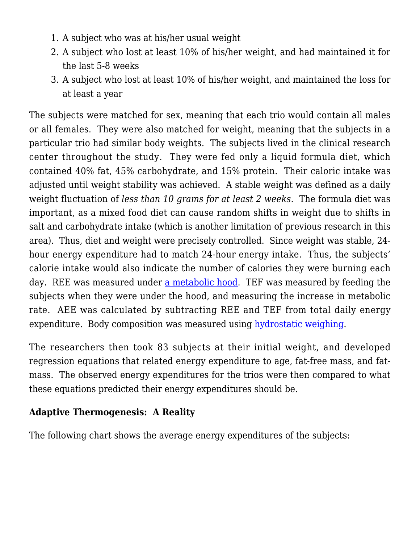- 1. A subject who was at his/her usual weight
- 2. A subject who lost at least 10% of his/her weight, and had maintained it for the last 5-8 weeks
- 3. A subject who lost at least 10% of his/her weight, and maintained the loss for at least a year

The subjects were matched for sex, meaning that each trio would contain all males or all females. They were also matched for weight, meaning that the subjects in a particular trio had similar body weights. The subjects lived in the clinical research center throughout the study. They were fed only a liquid formula diet, which contained 40% fat, 45% carbohydrate, and 15% protein. Their caloric intake was adjusted until weight stability was achieved. A stable weight was defined as a daily weight fluctuation of *less than 10 grams for at least 2 weeks.* The formula diet was important, as a mixed food diet can cause random shifts in weight due to shifts in salt and carbohydrate intake (which is another limitation of previous research in this area). Thus, diet and weight were precisely controlled. Since weight was stable, 24 hour energy expenditure had to match 24-hour energy intake. Thus, the subjects' calorie intake would also indicate the number of calories they were burning each day. REE was measured under [a metabolic hood.](http://www.inthebeatofaheart.com/imgs/pic_metabolic.jpg) TEF was measured by feeding the subjects when they were under the hood, and measuring the increase in metabolic rate. AEE was calculated by subtracting REE and TEF from total daily energy expenditure. Body composition was measured using [hydrostatic weighing](https://weightology.net/weightologyweekly/?page_id=162).

The researchers then took 83 subjects at their initial weight, and developed regression equations that related energy expenditure to age, fat-free mass, and fatmass. The observed energy expenditures for the trios were then compared to what these equations predicted their energy expenditures should be.

## **Adaptive Thermogenesis: A Reality**

The following chart shows the average energy expenditures of the subjects: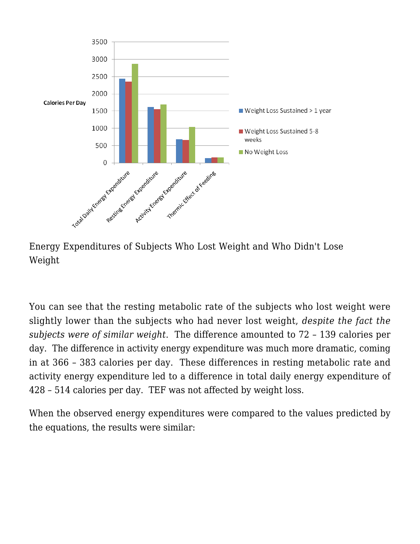

Energy Expenditures of Subjects Who Lost Weight and Who Didn't Lose Weight

You can see that the resting metabolic rate of the subjects who lost weight were slightly lower than the subjects who had never lost weight, *despite the fact the subjects were of similar weight*. The difference amounted to 72 – 139 calories per day. The difference in activity energy expenditure was much more dramatic, coming in at 366 – 383 calories per day. These differences in resting metabolic rate and activity energy expenditure led to a difference in total daily energy expenditure of 428 – 514 calories per day. TEF was not affected by weight loss.

When the observed energy expenditures were compared to the values predicted by the equations, the results were similar: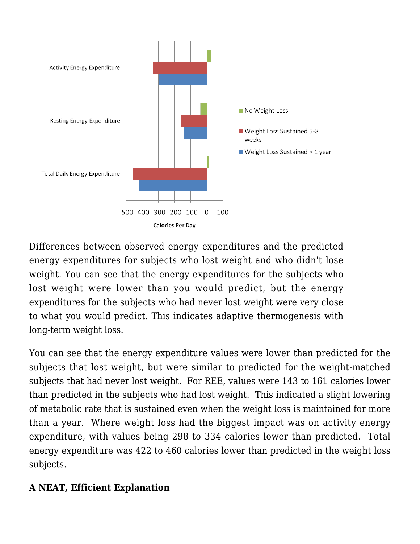

Differences between observed energy expenditures and the predicted energy expenditures for subjects who lost weight and who didn't lose weight. You can see that the energy expenditures for the subjects who lost weight were lower than you would predict, but the energy expenditures for the subjects who had never lost weight were very close to what you would predict. This indicates adaptive thermogenesis with long-term weight loss.

You can see that the energy expenditure values were lower than predicted for the subjects that lost weight, but were similar to predicted for the weight-matched subjects that had never lost weight. For REE, values were 143 to 161 calories lower than predicted in the subjects who had lost weight. This indicated a slight lowering of metabolic rate that is sustained even when the weight loss is maintained for more than a year. Where weight loss had the biggest impact was on activity energy expenditure, with values being 298 to 334 calories lower than predicted. Total energy expenditure was 422 to 460 calories lower than predicted in the weight loss subjects.

## **A NEAT, Efficient Explanation**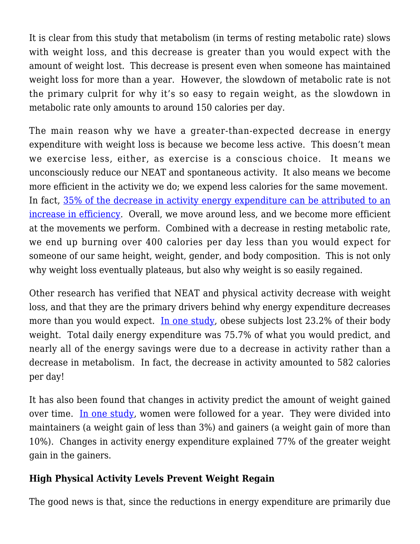It is clear from this study that metabolism (in terms of resting metabolic rate) slows with weight loss, and this decrease is greater than you would expect with the amount of weight lost. This decrease is present even when someone has maintained weight loss for more than a year. However, the slowdown of metabolic rate is not the primary culprit for why it's so easy to regain weight, as the slowdown in metabolic rate only amounts to around 150 calories per day.

The main reason why we have a greater-than-expected decrease in energy expenditure with weight loss is because we become less active. This doesn't mean we exercise less, either, as exercise is a conscious choice. It means we unconsciously reduce our NEAT and spontaneous activity. It also means we become more efficient in the activity we do; we expend less calories for the same movement. In fact, [35% of the decrease in activity energy expenditure can be attributed to an](http://www.ncbi.nlm.nih.gov/pubmed/12609816) [increase in efficiency.](http://www.ncbi.nlm.nih.gov/pubmed/12609816) Overall, we move around less, and we become more efficient at the movements we perform. Combined with a decrease in resting metabolic rate, we end up burning over 400 calories per day less than you would expect for someone of our same height, weight, gender, and body composition. This is not only why weight loss eventually plateaus, but also why weight is so easily regained.

Other research has verified that NEAT and physical activity decrease with weight loss, and that they are the primary drivers behind why energy expenditure decreases more than you would expect. [In one study,](http://www.ncbi.nlm.nih.gov/pubmed/3173112) obese subjects lost 23.2% of their body weight. Total daily energy expenditure was 75.7% of what you would predict, and nearly all of the energy savings were due to a decrease in activity rather than a decrease in metabolism. In fact, the decrease in activity amounted to 582 calories per day!

It has also been found that changes in activity predict the amount of weight gained over time. [In one study](http://www.ncbi.nlm.nih.gov/pubmed/11864855), women were followed for a year. They were divided into maintainers (a weight gain of less than 3%) and gainers (a weight gain of more than 10%). Changes in activity energy expenditure explained 77% of the greater weight gain in the gainers.

## **High Physical Activity Levels Prevent Weight Regain**

The good news is that, since the reductions in energy expenditure are primarily due